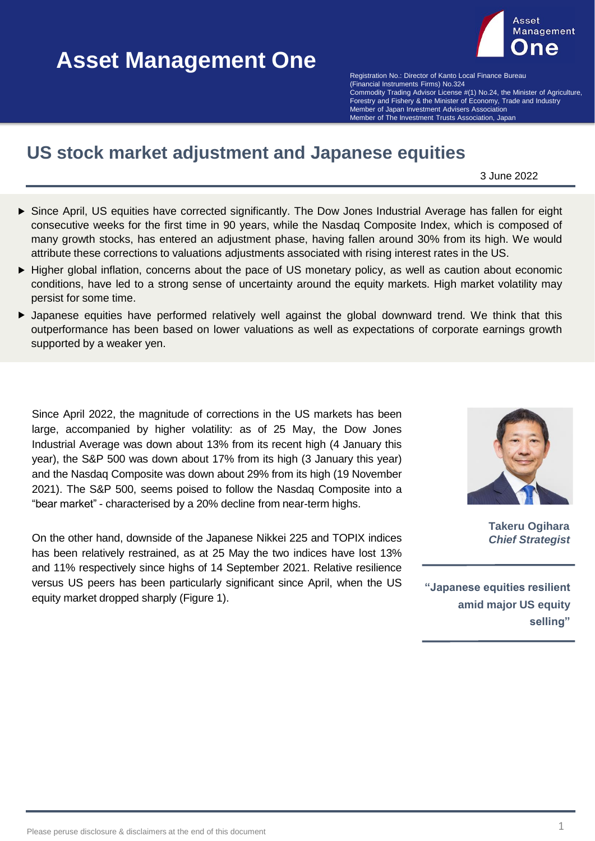# **Asset Management One Asset Management One**



(Financial Instruments Firms) No.324 **Example Bureau Advisor Community** Control Finance Bureau Community Commodity Trading Advisor License #(1) No.24, the Minister of Agriculture, Forestry and Fishery & the Minister of Economy, Trade and Industry Member of The Investment Trusts Association, Japan Member of The Investment Trusts Association, Japan Registration No.: Director of Kanto Local Finance Bureau Member of Japan Investment Advisers Association

# **US stock market adjustment and Japanese equities**

3 June 2022

- Since April, US equities have corrected significantly. The Dow Jones Industrial Average has fallen for eight consecutive weeks for the first time in 90 years, while the Nasdaq Composite Index, which is composed of many growth stocks, has entered an adjustment phase, having fallen around 30% from its high. We would attribute these corrections to valuations adjustments associated with rising interest rates in the US.
- Higher global inflation, concerns about the pace of US monetary policy, as well as caution about economic conditions, have led to a strong sense of uncertainty around the equity markets. High market volatility may persist for some time.
- Japanese equities have performed relatively well against the global downward trend. We think that this outperformance has been based on lower valuations as well as expectations of corporate earnings growth supported by a weaker yen.

Since April 2022, the magnitude of corrections in the US markets has been large, accompanied by higher volatility: as of 25 May, the Dow Jones Industrial Average was down about 13% from its recent high (4 January this year), the S&P 500 was down about 17% from its high (3 January this year) and the Nasdaq Composite was down about 29% from its high (19 November 2021). The S&P 500, seems poised to follow the Nasdaq Composite into a "bear market" - characterised by a 20% decline from near-term highs.

On the other hand, downside of the Japanese Nikkei 225 and TOPIX indices has been relatively restrained, as at 25 May the two indices have lost 13% and 11% respectively since highs of 14 September 2021. Relative resilience versus US peers has been particularly significant since April, when the US equity market dropped sharply (Figure 1).



**Takeru Ogihara** *Chief Strategist*

**"Japanese equities resilient amid major US equity selling"**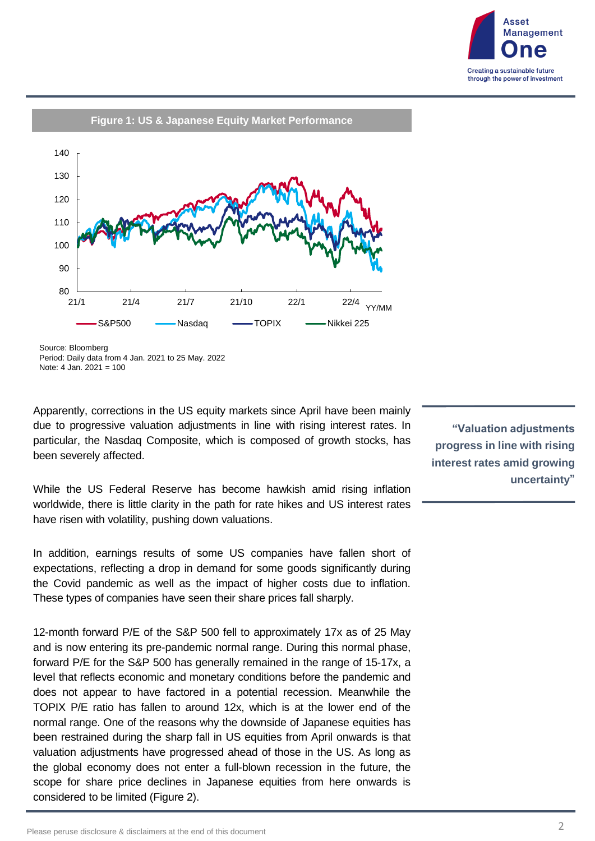



Source: Bloomberg Period: Daily data from 4 Jan. 2021 to 25 May. 2022 Note: 4 Jan. 2021 = 100

Apparently, corrections in the US equity markets since April have been mainly due to progressive valuation adjustments in line with rising interest rates. In particular, the Nasdaq Composite, which is composed of growth stocks, has been severely affected.

While the US Federal Reserve has become hawkish amid rising inflation worldwide, there is little clarity in the path for rate hikes and US interest rates have risen with volatility, pushing down valuations.

In addition, earnings results of some US companies have fallen short of expectations, reflecting a drop in demand for some goods significantly during the Covid pandemic as well as the impact of higher costs due to inflation. These types of companies have seen their share prices fall sharply.

12-month forward P/E of the S&P 500 fell to approximately 17x as of 25 May and is now entering its pre-pandemic normal range. During this normal phase, forward P/E for the S&P 500 has generally remained in the range of 15-17x, a level that reflects economic and monetary conditions before the pandemic and does not appear to have factored in a potential recession. Meanwhile the TOPIX P/E ratio has fallen to around 12x, which is at the lower end of the normal range. One of the reasons why the downside of Japanese equities has been restrained during the sharp fall in US equities from April onwards is that valuation adjustments have progressed ahead of those in the US. As long as the global economy does not enter a full-blown recession in the future, the scope for share price declines in Japanese equities from here onwards is considered to be limited (Figure 2).

**"Valuation adjustments progress in line with rising interest rates amid growing uncertainty"**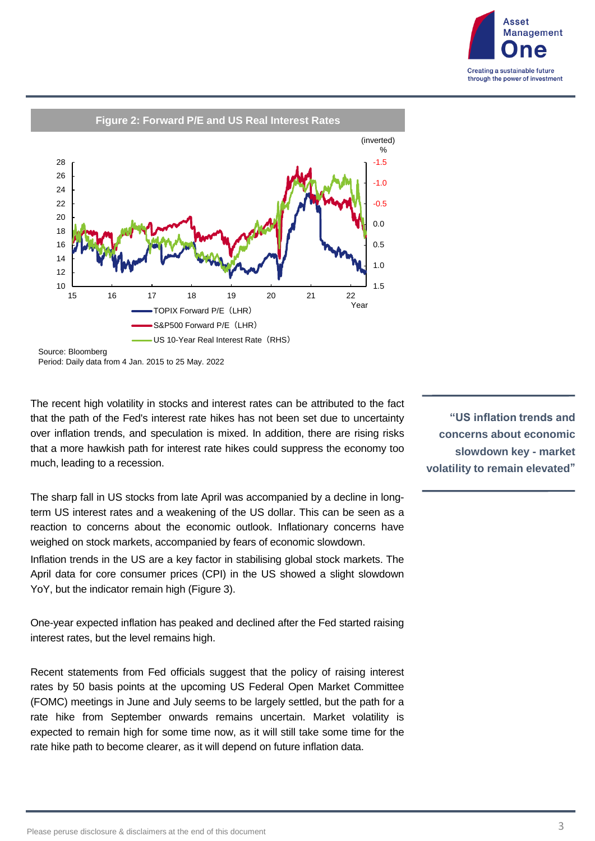



Period: Daily data from 4 Jan. 2015 to 25 May. 2022

The recent high volatility in stocks and interest rates can be attributed to the fact that the path of the Fed's interest rate hikes has not been set due to uncertainty over inflation trends, and speculation is mixed. In addition, there are rising risks that a more hawkish path for interest rate hikes could suppress the economy too much, leading to a recession.

The sharp fall in US stocks from late April was accompanied by a decline in longterm US interest rates and a weakening of the US dollar. This can be seen as a reaction to concerns about the economic outlook. Inflationary concerns have weighed on stock markets, accompanied by fears of economic slowdown.

Inflation trends in the US are a key factor in stabilising global stock markets. The April data for core consumer prices (CPI) in the US showed a slight slowdown YoY, but the indicator remain high (Figure 3).

One-year expected inflation has peaked and declined after the Fed started raising interest rates, but the level remains high.

Recent statements from Fed officials suggest that the policy of raising interest rates by 50 basis points at the upcoming US Federal Open Market Committee (FOMC) meetings in June and July seems to be largely settled, but the path for a rate hike from September onwards remains uncertain. Market volatility is expected to remain high for some time now, as it will still take some time for the rate hike path to become clearer, as it will depend on future inflation data.

**"US inflation trends and concerns about economic slowdown key - market volatility to remain elevated"**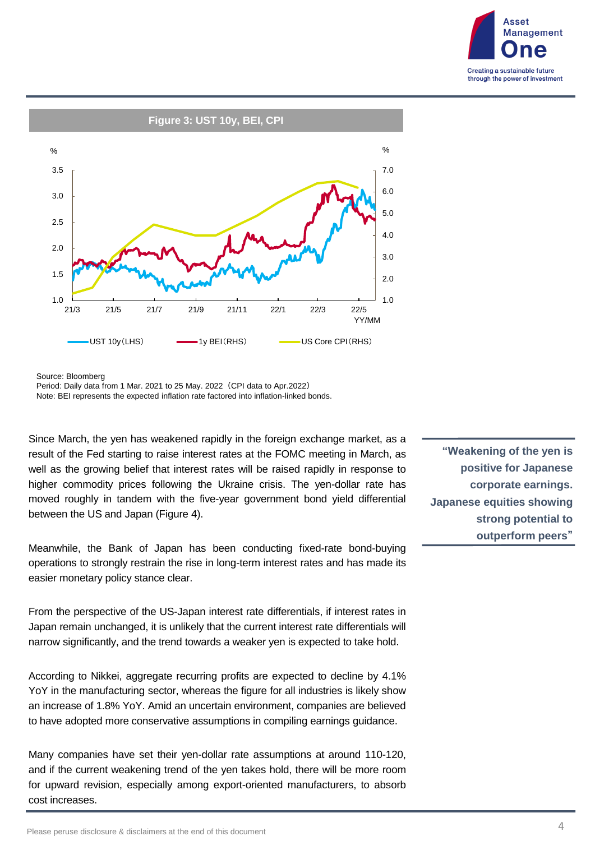



Source: Bloomberg

Since March, the yen has weakened rapidly in the foreign exchange market, as a result of the Fed starting to raise interest rates at the FOMC meeting in March, as well as the growing belief that interest rates will be raised rapidly in response to higher commodity prices following the Ukraine crisis. The yen-dollar rate has moved roughly in tandem with the five-year government bond yield differential between the US and Japan (Figure 4).

Meanwhile, the Bank of Japan has been conducting fixed-rate bond-buying operations to strongly restrain the rise in long-term interest rates and has made its easier monetary policy stance clear.

From the perspective of the US-Japan interest rate differentials, if interest rates in Japan remain unchanged, it is unlikely that the current interest rate differentials will narrow significantly, and the trend towards a weaker yen is expected to take hold.

According to Nikkei, aggregate recurring profits are expected to decline by 4.1% YoY in the manufacturing sector, whereas the figure for all industries is likely show an increase of 1.8% YoY. Amid an uncertain environment, companies are believed to have adopted more conservative assumptions in compiling earnings guidance.

Many companies have set their yen-dollar rate assumptions at around 110-120, and if the current weakening trend of the yen takes hold, there will be more room for upward revision, especially among export-oriented manufacturers, to absorb cost increases.

**"Weakening of the yen is positive for Japanese corporate earnings. Japanese equities showing strong potential to outperform peers"**

Period: Daily data from 1 Mar. 2021 to 25 May. 2022 (CPI data to Apr.2022) Note: BEI represents the expected inflation rate factored into inflation-linked bonds.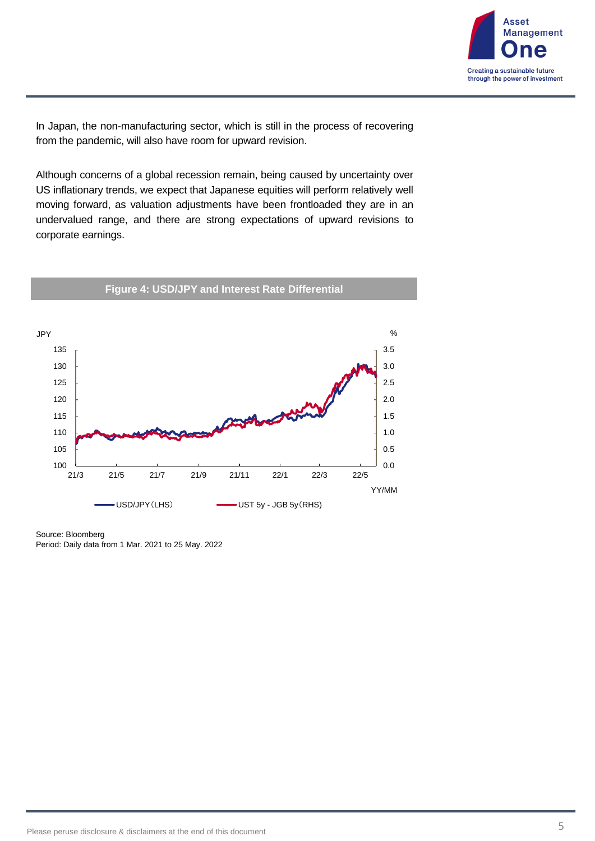

In Japan, the non-manufacturing sector, which is still in the process of recovering from the pandemic, will also have room for upward revision.

Although concerns of a global recession remain, being caused by uncertainty over US inflationary trends, we expect that Japanese equities will perform relatively well moving forward, as valuation adjustments have been frontloaded they are in an undervalued range, and there are strong expectations of upward revisions to corporate earnings.



Source: Bloomberg Period: Daily data from 1 Mar. 2021 to 25 May. 2022